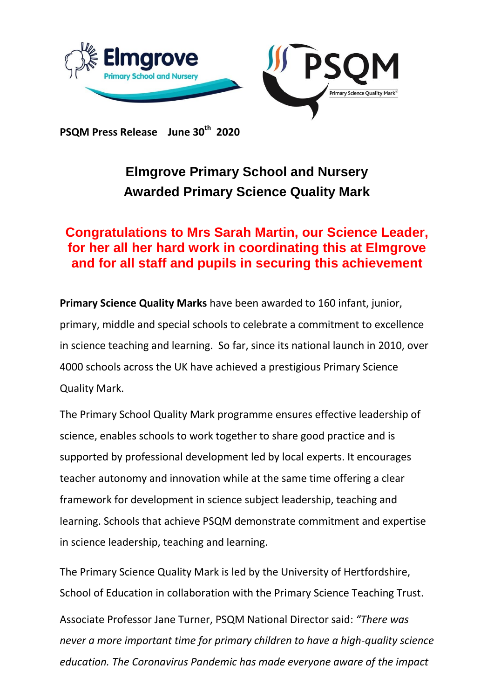

**PSQM Press Release June 30th 2020**

## **Elmgrove Primary School and Nursery Awarded Primary Science Quality Mark**

## **Congratulations to Mrs Sarah Martin, our Science Leader, for her all her hard work in coordinating this at Elmgrove and for all staff and pupils in securing this achievement**

**Primary Science Quality Marks** have been awarded to 160 infant, junior, primary, middle and special schools to celebrate a commitment to excellence in science teaching and learning. So far, since its national launch in 2010, over 4000 schools across the UK have achieved a prestigious Primary Science Quality Mark.

The Primary School Quality Mark programme ensures effective leadership of science, enables schools to work together to share good practice and is supported by professional development led by local experts. It encourages teacher autonomy and innovation while at the same time offering a clear framework for development in science subject leadership, teaching and learning. Schools that achieve PSQM demonstrate commitment and expertise in science leadership, teaching and learning.

The Primary Science Quality Mark is led by the University of Hertfordshire, School of Education in collaboration with the Primary Science Teaching Trust.

Associate Professor Jane Turner, PSQM National Director said: *"There was never a more important time for primary children to have a high-quality science education. The Coronavirus Pandemic has made everyone aware of the impact*